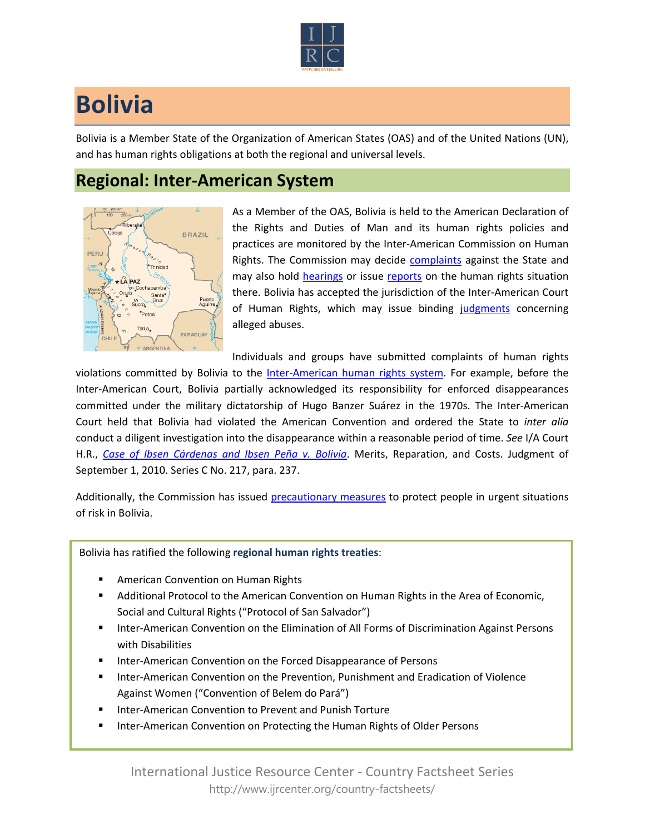

## **Bolivia**

Bolivia is a Member State of the Organization of American States (OAS) and of the United Nations (UN), and has human rights obligations at both the regional and universal levels.

## **Regional: Inter-American System**



As a Member of the OAS, Bolivia is held to the American Declaration of the Rights and Duties of Man and its human rights policies and practices are monitored by the Inter-American Commission on Human Rights. The Commission may decide [complaints](http://www.oas.org/en/iachr/decisions/merits.asp) against the State and may also hold [hearings](http://www.oas.org/es/cidh/audiencias/advanced.aspx?lang=en) or issue [reports](http://www.oas.org/en/iachr/reports/country.asp) on the human rights situation there. Bolivia has accepted the jurisdiction of the Inter-American Court of Human Rights, which may issue binding [judgments](http://www.corteidh.or.cr/cf/Jurisprudencia2/busqueda_casos_contenciosos.cfm?lang=en) concerning alleged abuses.

Individuals and groups have submitted complaints of human rights

violations committed by Bolivia to the [Inter-American human rights system](http://www.ijrcenter.org/regional/inter-american-system/). For example, before the Inter-American Court, Bolivia partially acknowledged its responsibility for enforced disappearances committed under the military dictatorship of Hugo Banzer Suárez in the 1970s. The Inter-American Court held that Bolivia had violated the American Convention and ordered the State to *inter alia*  conduct a diligent investigation into the disappearance within a reasonable period of time. *See* I/A Court H.R., *[Case of Ibsen Cárdenas and Ibsen Peña v. Bolivia](http://www.corteidh.or.cr/docs/casos/articulos/seriec_217_ing.pdf)*. Merits, Reparation, and Costs. Judgment of September 1, 2010. Series C No. 217, para. 237.

Additionally, the Commission has issued [precautionary measures](http://www.oas.org/en/iachr/decisions/precautionary.asp) to protect people in urgent situations of risk in Bolivia.

Bolivia has ratified the following **regional human rights treaties**:

- **American Convention on Human Rights**
- Additional Protocol to the American Convention on Human Rights in the Area of Economic, Social and Cultural Rights ("Protocol of San Salvador")
- **Inter-American Convention on the Elimination of All Forms of Discrimination Against Persons** with Disabilities
- **Inter-American Convention on the Forced Disappearance of Persons**
- **Inter-American Convention on the Prevention, Punishment and Eradication of Violence** Against Women ("Convention of Belem do Pará")
- Inter-American Convention to Prevent and Punish Torture
- Inter-American Convention on Protecting the Human Rights of Older Persons